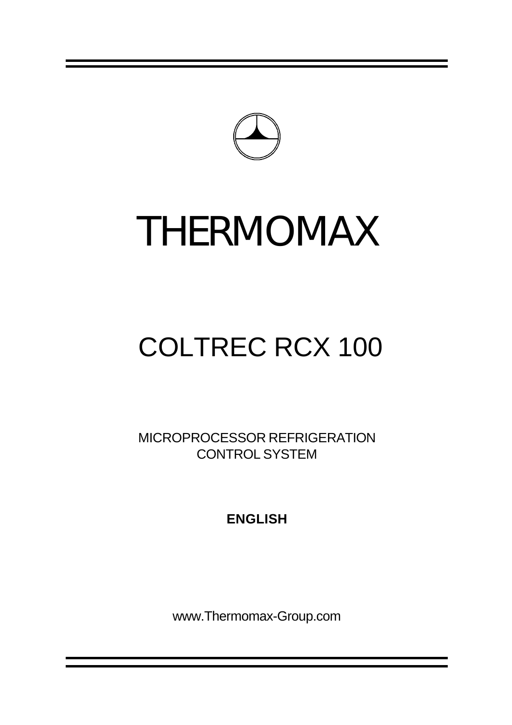

# THERMOMAX

## COLTREC RCX 100

MICROPROCESSOR REFRIGERATION CONTROL SYSTEM

**ENGLISH**

www.Thermomax-Group.com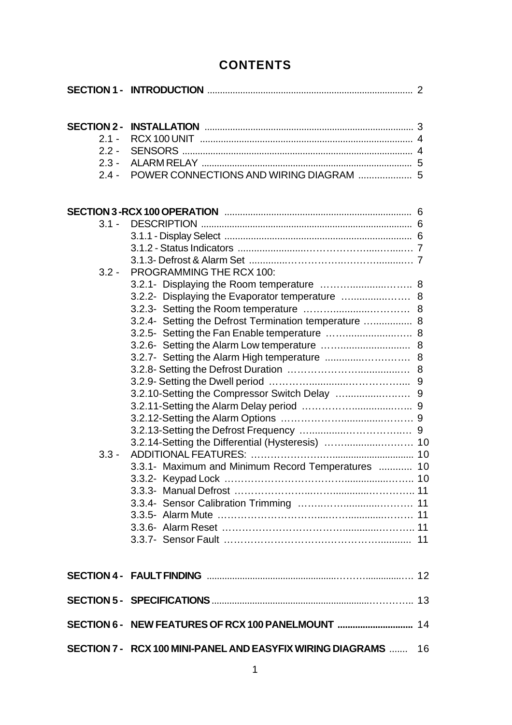## **CONTENTS**

| <b>SECTION 2 -</b> |                                                                |  |
|--------------------|----------------------------------------------------------------|--|
| $2.1 -$            |                                                                |  |
| $2.2 -$            |                                                                |  |
| $2.3 -$            |                                                                |  |
| $2.4 -$            |                                                                |  |
|                    |                                                                |  |
| $3.1 -$            |                                                                |  |
|                    |                                                                |  |
|                    |                                                                |  |
|                    |                                                                |  |
| $3.2 -$            | PROGRAMMING THE RCX 100:                                       |  |
|                    | 3.2.1- Displaying the Room temperature  8                      |  |
|                    |                                                                |  |
|                    |                                                                |  |
|                    | 3.2.4- Setting the Defrost Termination temperature  8          |  |
|                    | 3.2.5- Setting the Fan Enable temperature  8                   |  |
|                    |                                                                |  |
|                    |                                                                |  |
|                    |                                                                |  |
|                    |                                                                |  |
|                    |                                                                |  |
|                    |                                                                |  |
|                    |                                                                |  |
|                    |                                                                |  |
|                    |                                                                |  |
| $3.3 -$            |                                                                |  |
|                    | 3.3.1- Maximum and Minimum Record Temperatures  10             |  |
|                    |                                                                |  |
|                    |                                                                |  |
|                    |                                                                |  |
|                    |                                                                |  |
|                    |                                                                |  |
|                    |                                                                |  |
|                    |                                                                |  |
|                    |                                                                |  |
|                    | SECTION 6 - NEW FEATURES OF RCX 100 PANELMOUNT  14             |  |
|                    | SECTION 7 - RCX 100 MINI-PANEL AND EASYFIX WIRING DIAGRAMS  16 |  |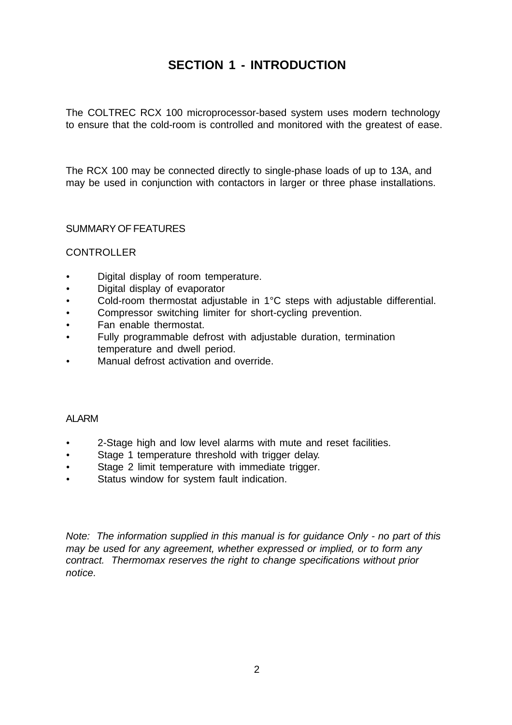## **SECTION 1 - INTRODUCTION**

The COLTREC RCX 100 microprocessor-based system uses modern technology to ensure that the cold-room is controlled and monitored with the greatest of ease.

The RCX 100 may be connected directly to single-phase loads of up to 13A, and may be used in conjunction with contactors in larger or three phase installations.

SUMMARY OF FEATURES

#### CONTROLLER

- Digital display of room temperature.
- Digital display of evaporator
- Cold-room thermostat adjustable in 1°C steps with adjustable differential.
- Compressor switching limiter for short-cycling prevention.
- Fan enable thermostat.
- Fully programmable defrost with adjustable duration, termination temperature and dwell period.
- Manual defrost activation and override.

#### ALARM

- 2-Stage high and low level alarms with mute and reset facilities.
- Stage 1 temperature threshold with trigger delay.
- Stage 2 limit temperature with immediate trigger.
- Status window for system fault indication.

*Note: The information supplied in this manual is for guidance Only - no part of this may be used for any agreement, whether expressed or implied, or to form any contract. Thermomax reserves the right to change specifications without prior notice.*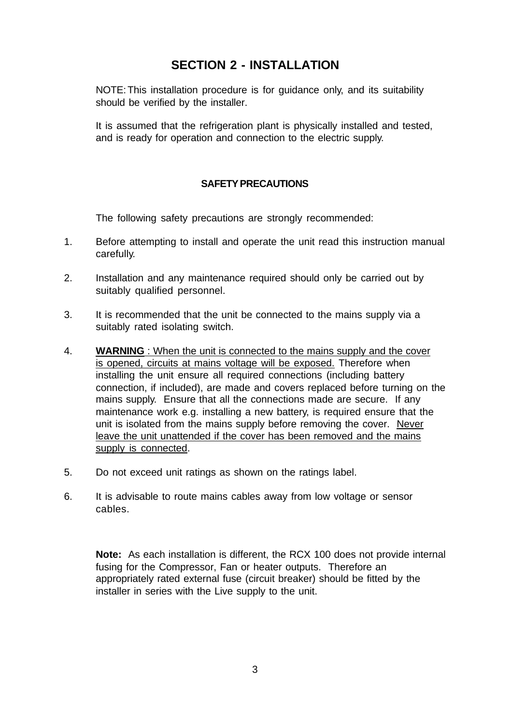### **SECTION 2 - INSTALLATION**

NOTE:This installation procedure is for guidance only, and its suitability should be verified by the installer.

It is assumed that the refrigeration plant is physically installed and tested, and is ready for operation and connection to the electric supply.

#### **SAFETY PRECAUTIONS**

The following safety precautions are strongly recommended:

- 1. Before attempting to install and operate the unit read this instruction manual carefully.
- 2. Installation and any maintenance required should only be carried out by suitably qualified personnel.
- 3. It is recommended that the unit be connected to the mains supply via a suitably rated isolating switch.
- 4. **WARNING** : When the unit is connected to the mains supply and the cover is opened, circuits at mains voltage will be exposed. Therefore when installing the unit ensure all required connections (including battery connection, if included), are made and covers replaced before turning on the mains supply. Ensure that all the connections made are secure. If any maintenance work e.g. installing a new battery, is required ensure that the unit is isolated from the mains supply before removing the cover. Never leave the unit unattended if the cover has been removed and the mains supply is connected.
- 5. Do not exceed unit ratings as shown on the ratings label.
- 6. It is advisable to route mains cables away from low voltage or sensor cables.

**Note:** As each installation is different, the RCX 100 does not provide internal fusing for the Compressor, Fan or heater outputs. Therefore an appropriately rated external fuse (circuit breaker) should be fitted by the installer in series with the Live supply to the unit.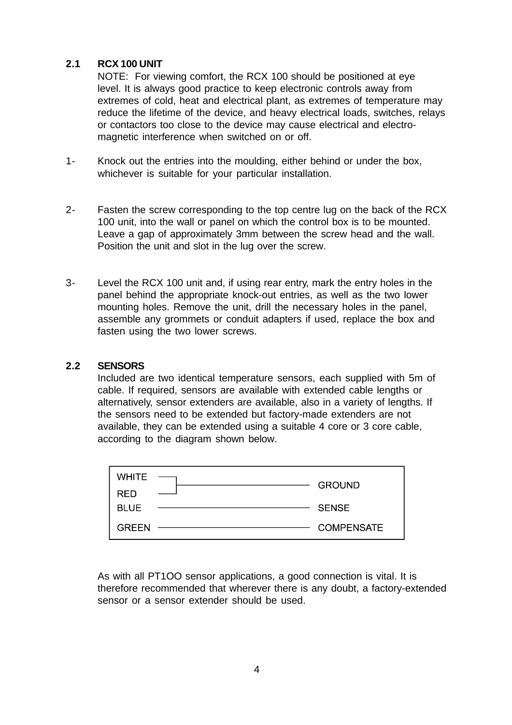#### **2.1 RCX 100 UNIT**

NOTE: For viewing comfort, the RCX 100 should be positioned at eye level. It is always good practice to keep electronic controls away from extremes of cold, heat and electrical plant, as extremes of temperature may reduce the lifetime of the device, and heavy electrical loads, switches, relays or contactors too close to the device may cause electrical and electromagnetic interference when switched on or off.

- 1- Knock out the entries into the moulding, either behind or under the box, whichever is suitable for your particular installation.
- 2- Fasten the screw corresponding to the top centre lug on the back of the RCX 100 unit, into the wall or panel on which the control box is to be mounted. Leave a gap of approximately 3mm between the screw head and the wall. Position the unit and slot in the lug over the screw.
- 3- Level the RCX 100 unit and, if using rear entry, mark the entry holes in the panel behind the appropriate knock-out entries, as well as the two lower mounting holes. Remove the unit, drill the necessary holes in the panel, assemble any grommets or conduit adapters if used, replace the box and fasten using the two lower screws.

#### **2.2 SENSORS**

Included are two identical temperature sensors, each supplied with 5m of cable. If required, sensors are available with extended cable lengths or alternatively, sensor extenders are available, also in a variety of lengths. If the sensors need to be extended but factory-made extenders are not available, they can be extended using a suitable 4 core or 3 core cable, according to the diagram shown below.

| <b>WHITE</b> | <b>GROUND</b>     |
|--------------|-------------------|
| <b>RED</b>   |                   |
| <b>BLUE</b>  | <b>SENSE</b>      |
| <b>GREEN</b> | <b>COMPENSATE</b> |

As with all PT1OO sensor applications, a good connection is vital. It is therefore recommended that wherever there is any doubt, a factory-extended sensor or a sensor extender should be used.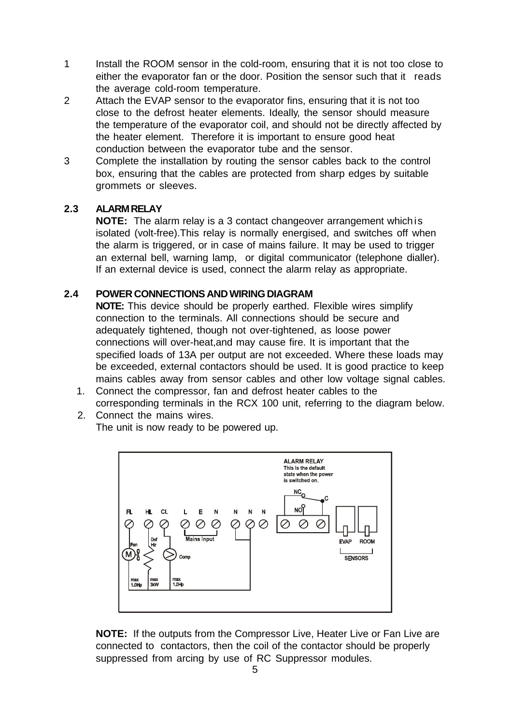- 1 Install the ROOM sensor in the cold-room, ensuring that it is not too close to either the evaporator fan or the door. Position the sensor such that it reads the average cold-room temperature.
- 2 Attach the EVAP sensor to the evaporator fins, ensuring that it is not too close to the defrost heater elements. Ideally, the sensor should measure the temperature of the evaporator coil, and should not be directly affected by the heater element. Therefore it is important to ensure good heat conduction between the evaporator tube and the sensor.
- 3 Complete the installation by routing the sensor cables back to the control box, ensuring that the cables are protected from sharp edges by suitable grommets or sleeves.

#### **2.3 ALARM RELAY**

**NOTE:** The alarm relay is a 3 contact changeover arrangement whichis isolated (volt-free).This relay is normally energised, and switches off when the alarm is triggered, or in case of mains failure. It may be used to trigger an external bell, warning lamp, or digital communicator (telephone dialler). If an external device is used, connect the alarm relay as appropriate.

#### **2.4 POWER CONNECTIONS AND WIRING DIAGRAM**

**NOTE:** This device should be properly earthed. Flexible wires simplify connection to the terminals. All connections should be secure and adequately tightened, though not over-tightened, as loose power connections will over-heat,and may cause fire. It is important that the specified loads of 13A per output are not exceeded. Where these loads may be exceeded, external contactors should be used. It is good practice to keep mains cables away from sensor cables and other low voltage signal cables.

 1. Connect the compressor, fan and defrost heater cables to the corresponding terminals in the RCX 100 unit, referring to the diagram below.

2. Connect the mains wires. The unit is now ready to be powered up.



**NOTE:** If the outputs from the Compressor Live, Heater Live or Fan Live are connected to contactors, then the coil of the contactor should be properly suppressed from arcing by use of RC Suppressor modules.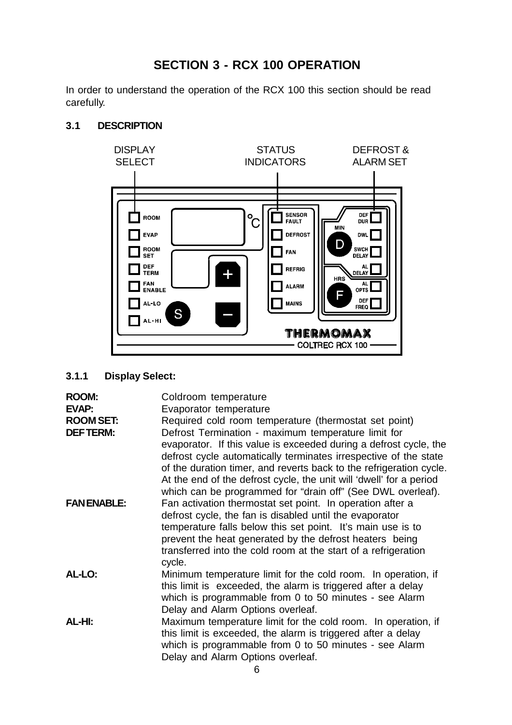## **SECTION 3 - RCX 100 OPERATION**

In order to understand the operation of the RCX 100 this section should be read carefully.



#### **3.1 DESCRIPTION**

#### **3.1.1 Display Select:**

| <b>ROOM:</b><br>EVAP:               | Coldroom temperature<br>Evaporator temperature                                                                                                                                                                                                                                                                                                                                                                                                                     |
|-------------------------------------|--------------------------------------------------------------------------------------------------------------------------------------------------------------------------------------------------------------------------------------------------------------------------------------------------------------------------------------------------------------------------------------------------------------------------------------------------------------------|
| <b>ROOM SET:</b><br><b>DEFTERM:</b> | Required cold room temperature (thermostat set point)<br>Defrost Termination - maximum temperature limit for<br>evaporator. If this value is exceeded during a defrost cycle, the<br>defrost cycle automatically terminates irrespective of the state<br>of the duration timer, and reverts back to the refrigeration cycle.<br>At the end of the defrost cycle, the unit will 'dwell' for a period<br>which can be programmed for "drain off" (See DWL overleaf). |
| <b>FANENABLE:</b>                   | Fan activation thermostat set point. In operation after a<br>defrost cycle, the fan is disabled until the evaporator<br>temperature falls below this set point. It's main use is to<br>prevent the heat generated by the defrost heaters being<br>transferred into the cold room at the start of a refrigeration<br>cycle.                                                                                                                                         |
| AL-LO:                              | Minimum temperature limit for the cold room. In operation, if<br>this limit is exceeded, the alarm is triggered after a delay<br>which is programmable from 0 to 50 minutes - see Alarm<br>Delay and Alarm Options overleaf.                                                                                                                                                                                                                                       |
| AL-HI:                              | Maximum temperature limit for the cold room. In operation, if<br>this limit is exceeded, the alarm is triggered after a delay<br>which is programmable from 0 to 50 minutes - see Alarm<br>Delay and Alarm Options overleaf.                                                                                                                                                                                                                                       |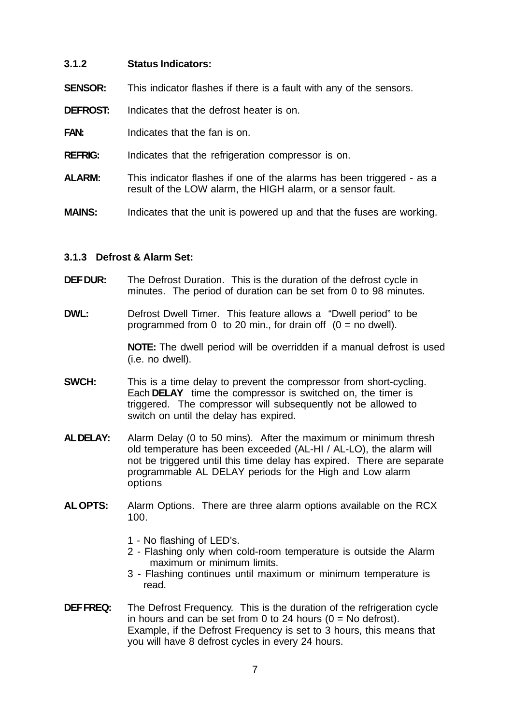#### **3.1.2 Status Indicators:**

- **SENSOR:** This indicator flashes if there is a fault with any of the sensors.
- **DEFROST:** Indicates that the defrost heater is on.
- **FAN:** Indicates that the fan is on.
- **REFRIG:** Indicates that the refrigeration compressor is on.
- **ALARM:** This indicator flashes if one of the alarms has been triggered as a result of the LOW alarm, the HIGH alarm, or a sensor fault.
- **MAINS:** Indicates that the unit is powered up and that the fuses are working.

#### **3.1.3 Defrost & Alarm Set:**

- **DEF DUR:** The Defrost Duration. This is the duration of the defrost cycle in minutes. The period of duration can be set from 0 to 98 minutes.
- **DWL:** Defrost Dwell Timer. This feature allows a "Dwell period" to be programmed from 0 to 20 min., for drain off  $(0 = no$  dwell).

**NOTE:** The dwell period will be overridden if a manual defrost is used (i.e. no dwell).

- **SWCH:** This is a time delay to prevent the compressor from short-cycling. Each **DELAY** time the compressor is switched on, the timer is triggered. The compressor will subsequently not be allowed to switch on until the delay has expired.
- **AL DELAY:** Alarm Delay (0 to 50 mins). After the maximum or minimum thresh old temperature has been exceeded (AL-HI / AL-LO), the alarm will not be triggered until this time delay has expired. There are separate programmable AL DELAY periods for the High and Low alarm options
- **AL OPTS:** Alarm Options. There are three alarm options available on the RCX 100.
	- 1 No flashing of LED's.
	- 2 Flashing only when cold-room temperature is outside the Alarm maximum or minimum limits.
	- 3 Flashing continues until maximum or minimum temperature is read.
- **DEF FREQ:** The Defrost Frequency. This is the duration of the refrigeration cycle in hours and can be set from 0 to 24 hours  $(0 = No$  defrost). Example, if the Defrost Frequency is set to 3 hours, this means that you will have 8 defrost cycles in every 24 hours.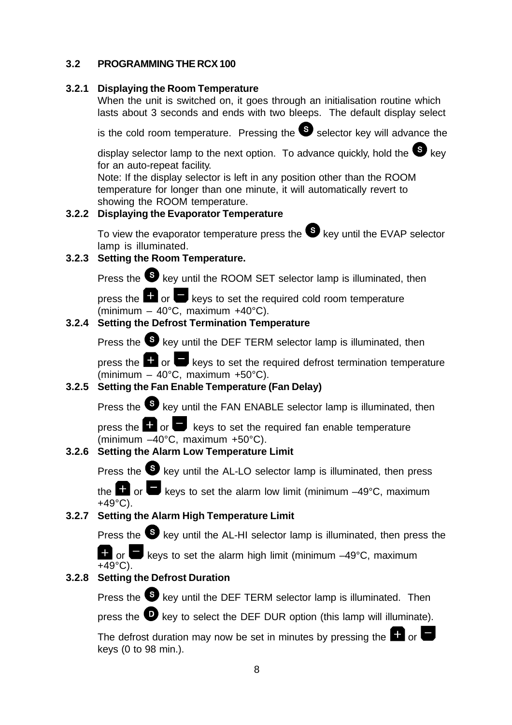#### **3.2 PROGRAMMING THE RCX 100**

#### **3.2.1 Displaying the Room Temperature**

When the unit is switched on, it goes through an initialisation routine which lasts about 3 seconds and ends with two bleeps. The default display select

is the cold room temperature. Pressing the  $\bullet$  selector key will advance the

display selector lamp to the next option. To advance quickly, hold the  $\bullet$  key for an auto-repeat facility.

Note: If the display selector is left in any position other than the ROOM temperature for longer than one minute, it will automatically revert to showing the ROOM temperature.

#### **3.2.2 Displaying the Evaporator Temperature**

To view the evaporator temperature press the  $\bullet$  key until the EVAP selector lamp is illuminated.

#### **3.2.3 Setting the Room Temperature.**

Press the **S** key until the ROOM SET selector lamp is illuminated, then

press the  $\Box$  or  $\Box$  keys to set the required cold room temperature (minimum – 40°C, maximum +40°C).

#### **3.2.4 Setting the Defrost Termination Temperature**

Press the **S** key until the DEF TERM selector lamp is illuminated, then

press the  $\Box$  or  $\Box$  keys to set the required defrost termination temperature (minimum – 40°C, maximum +50°C).

#### **3.2.5 Setting the Fan Enable Temperature (Fan Delay)**

Press the  $\bullet$  key until the FAN ENABLE selector lamp is illuminated, then

press the  $\blacksquare$  or  $\blacksquare$  keys to set the required fan enable temperature (minimum –40°C, maximum +50°C).

#### **3.2.6 Setting the Alarm Low Temperature Limit**

Press the  $\bullet$  key until the AL-LO selector lamp is illuminated, then press

the  $\Box$  or  $\Box$  keys to set the alarm low limit (minimum –49°C, maximum +49°C).

#### **3.2.7 Setting the Alarm High Temperature Limit**

Press the **S** key until the AL-HI selector lamp is illuminated, then press the

 or keys to set the alarm high limit (minimum –49°C, maximum  $+49^{\circ}$ C).

#### **3.2.8 Setting the Defrost Duration**

Press the  $\bullet$  key until the DEF TERM selector lamp is illuminated. Then

press the  $\bullet$  key to select the DEF DUR option (this lamp will illuminate).

The defrost duration may now be set in minutes by pressing the  $\Box$  or  $\Box$ keys (0 to 98 min.).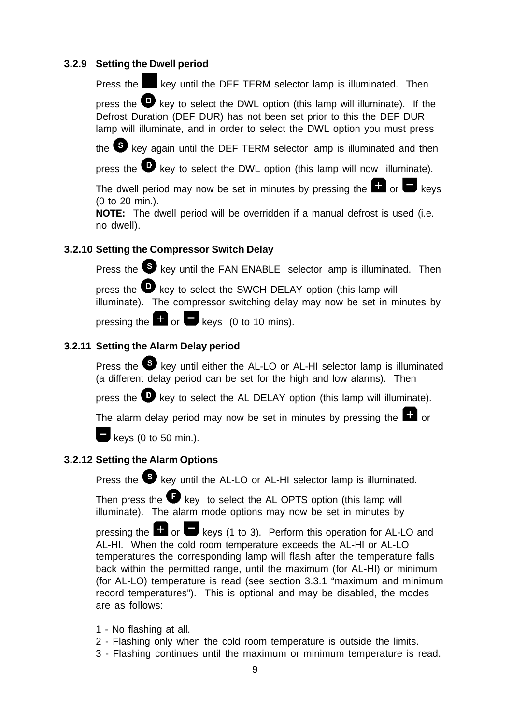#### **3.2.9 Setting the Dwell period**

Press the key until the DEF TERM selector lamp is illuminated. Then

press the  $\bullet$  key to select the DWL option (this lamp will illuminate). If the Defrost Duration (DEF DUR) has not been set prior to this the DEF DUR lamp will illuminate, and in order to select the DWL option you must press

the S key again until the DEF TERM selector lamp is illuminated and then

press the  $\bullet$  key to select the DWL option (this lamp will now illuminate).

The dwell period may now be set in minutes by pressing the  $\Box$  or  $\Box$  keys (0 to 20 min.).

**NOTE:** The dwell period will be overridden if a manual defrost is used (i.e. no dwell).

#### **3.2.10 Setting the Compressor Switch Delay**

Press the  $\bullet$  key until the FAN ENABLE selector lamp is illuminated. Then

press the  $\bullet$  key to select the SWCH DELAY option (this lamp will illuminate). The compressor switching delay may now be set in minutes by

pressing the  $\Box$  or  $\Box$  keys (0 to 10 mins).

#### **3.2.11 Setting the Alarm Delay period**

Press the  $\blacktriangleright$  key until either the AL-LO or AL-HI selector lamp is illuminated (a different delay period can be set for the high and low alarms). Then

press the  $\bullet$  key to select the AL DELAY option (this lamp will illuminate).

The alarm delay period may now be set in minutes by pressing the  $\Box$  or



 $\blacksquare$  keys (0 to 50 min.).

#### **3.2.12 Setting the Alarm Options**

Press the **S** key until the AL-LO or AL-HI selector lamp is illuminated.

Then press the  $\blacksquare$  key to select the AL OPTS option (this lamp will illuminate). The alarm mode options may now be set in minutes by

pressing the  $\Box$  or  $\Box$  keys (1 to 3). Perform this operation for AL-LO and AL-HI. When the cold room temperature exceeds the AL-HI or AL-LO temperatures the corresponding lamp will flash after the temperature falls back within the permitted range, until the maximum (for AL-HI) or minimum (for AL-LO) temperature is read (see section 3.3.1 "maximum and minimum record temperatures"). This is optional and may be disabled, the modes are as follows:

- 1 No flashing at all.
- 2 Flashing only when the cold room temperature is outside the limits.
- 3 Flashing continues until the maximum or minimum temperature is read.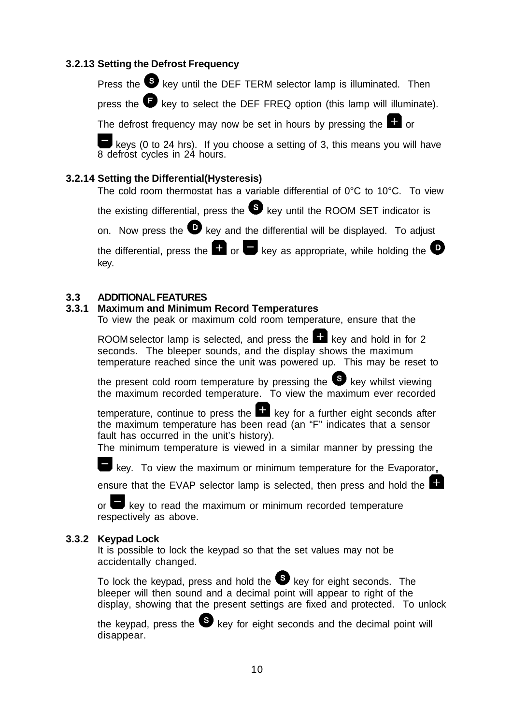#### **3.2.13 Setting the Defrost Frequency**

Press the  $\bullet$  key until the DEF TERM selector lamp is illuminated. Then

press the  $\bullet$  key to select the DEF FREQ option (this lamp will illuminate).

The defrost frequency may now be set in hours by pressing the  $\Box$  or

 keys (0 to 24 hrs). If you choose a setting of 3, this means you will have 8 defrost cycles in 24 hours.

#### **3.2.14 Setting the Differential(Hysteresis)**

The cold room thermostat has a variable differential of 0°C to 10°C. To view

the existing differential, press the  $\bullet$  key until the ROOM SET indicator is

on. Now press the  $\bullet\hspace{0.4mm}$  key and the differential will be displayed. To adjust

the differential, press the  $\blacksquare$  or  $\blacksquare$  key as appropriate, while holding the  $\mathbf \odot$ key.

#### **3.3 ADDITIONAL FEATURES**

#### **3.3.1 Maximum and Minimum Record Temperatures**

To view the peak or maximum cold room temperature, ensure that the

ROOM selector lamp is selected, and press the  $\Box$  key and hold in for 2 seconds. The bleeper sounds, and the display shows the maximum temperature reached since the unit was powered up. This may be reset to

the present cold room temperature by pressing the  $\bullet$  key whilst viewing the maximum recorded temperature. To view the maximum ever recorded

temperature, continue to press the  $\blacksquare$  key for a further eight seconds after the maximum temperature has been read (an "F" indicates that a sensor fault has occurred in the unit's history).

The minimum temperature is viewed in a similar manner by pressing the

key. To view the maximum or minimum temperature for the Evaporator,

ensure that the EVAP selector lamp is selected, then press and hold the

or  $\blacksquare$  key to read the maximum or minimum recorded temperature respectively as above.

#### **3.3.2 Keypad Lock**

It is possible to lock the keypad so that the set values may not be accidentally changed.

To lock the keypad, press and hold the  $\bullet$  key for eight seconds. The bleeper will then sound and a decimal point will appear to right of the display, showing that the present settings are fixed and protected. To unlock

the keypad, press the  $\bullet$  key for eight seconds and the decimal point will disappear.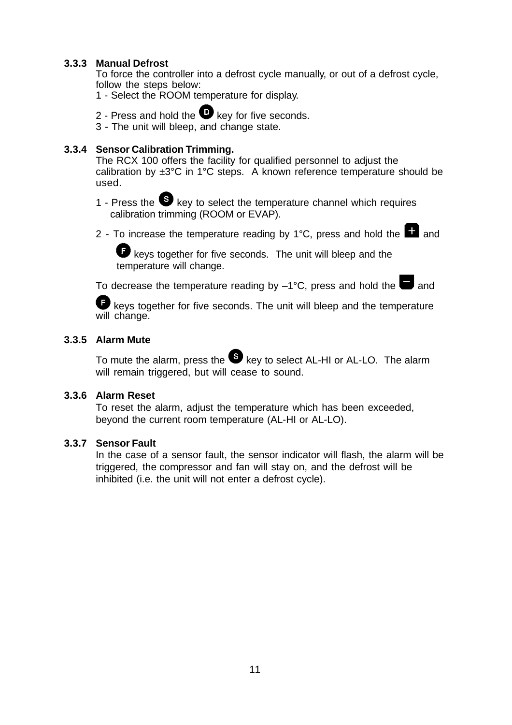#### **3.3.3 Manual Defrost**

To force the controller into a defrost cycle manually, or out of a defrost cycle, follow the steps below:

- 1 Select the ROOM temperature for display.
- 2 Press and hold the  $\bullet$  key for five seconds.
- 3 The unit will bleep, and change state.

#### **3.3.4 Sensor Calibration Trimming.**

The RCX 100 offers the facility for qualified personnel to adjust the calibration by  $\pm 3^{\circ}$ C in 1°C steps. A known reference temperature should be used.

- 1 Press the  $\bullet\$  key to select the temperature channel which requires calibration trimming (ROOM or EVAP).
- 2 To increase the temperature reading by  $1^{\circ}$ C, press and hold the  $\Box$  and

 keys together for five seconds. The unit will bleep and the temperature will change.

To decrease the temperature reading by  $-1^{\circ}$ C, press and hold the and

keys together for five seconds. The unit will bleep and the temperature will change.

#### **3.3.5 Alarm Mute**

To mute the alarm, press the  $\bullet$  key to select AL-HI or AL-LO. The alarm will remain triggered, but will cease to sound.

#### **3.3.6 Alarm Reset**

To reset the alarm, adjust the temperature which has been exceeded, beyond the current room temperature (AL-HI or AL-LO).

#### **3.3.7 Sensor Fault**

In the case of a sensor fault, the sensor indicator will flash, the alarm will be triggered, the compressor and fan will stay on, and the defrost will be inhibited (i.e. the unit will not enter a defrost cycle).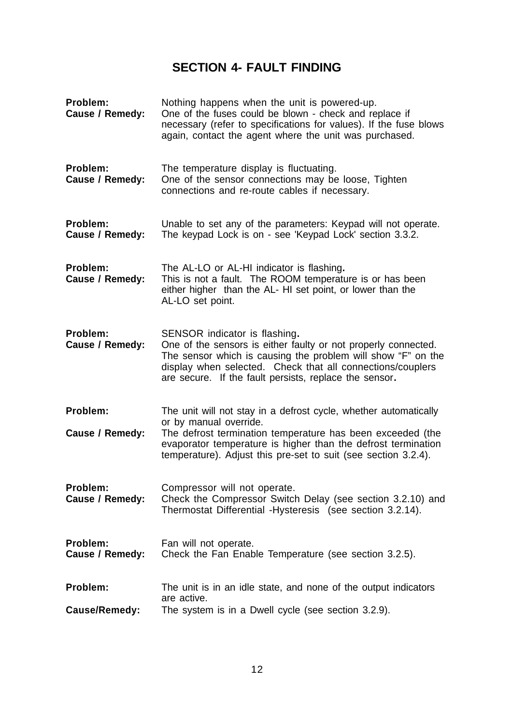## **SECTION 4- FAULT FINDING**

| Problem:<br>Cause / Remedy: | Nothing happens when the unit is powered-up.<br>One of the fuses could be blown - check and replace if<br>necessary (refer to specifications for values). If the fuse blows<br>again, contact the agent where the unit was purchased.                                                       |
|-----------------------------|---------------------------------------------------------------------------------------------------------------------------------------------------------------------------------------------------------------------------------------------------------------------------------------------|
| Problem:<br>Cause / Remedy: | The temperature display is fluctuating.<br>One of the sensor connections may be loose, Tighten<br>connections and re-route cables if necessary.                                                                                                                                             |
| Problem:<br>Cause / Remedy: | Unable to set any of the parameters: Keypad will not operate.<br>The keypad Lock is on - see 'Keypad Lock' section 3.3.2.                                                                                                                                                                   |
| Problem:<br>Cause / Remedy: | The AL-LO or AL-HI indicator is flashing.<br>This is not a fault. The ROOM temperature is or has been<br>either higher than the AL- HI set point, or lower than the<br>AL-LO set point.                                                                                                     |
| Problem:<br>Cause / Remedy: | SENSOR indicator is flashing.<br>One of the sensors is either faulty or not properly connected.<br>The sensor which is causing the problem will show "F" on the<br>display when selected. Check that all connections/couplers<br>are secure. If the fault persists, replace the sensor.     |
| Problem:<br>Cause / Remedy: | The unit will not stay in a defrost cycle, whether automatically<br>or by manual override.<br>The defrost termination temperature has been exceeded (the<br>evaporator temperature is higher than the defrost termination<br>temperature). Adjust this pre-set to suit (see section 3.2.4). |
| Problem:<br>Cause / Remedy: | Compressor will not operate.<br>Check the Compressor Switch Delay (see section 3.2.10) and<br>Thermostat Differential - Hysteresis (see section 3.2.14).                                                                                                                                    |
| Problem:<br>Cause / Remedy: | Fan will not operate.<br>Check the Fan Enable Temperature (see section 3.2.5).                                                                                                                                                                                                              |
| Problem:                    | The unit is in an idle state, and none of the output indicators<br>are active.                                                                                                                                                                                                              |
| <b>Cause/Remedy:</b>        | The system is in a Dwell cycle (see section 3.2.9).                                                                                                                                                                                                                                         |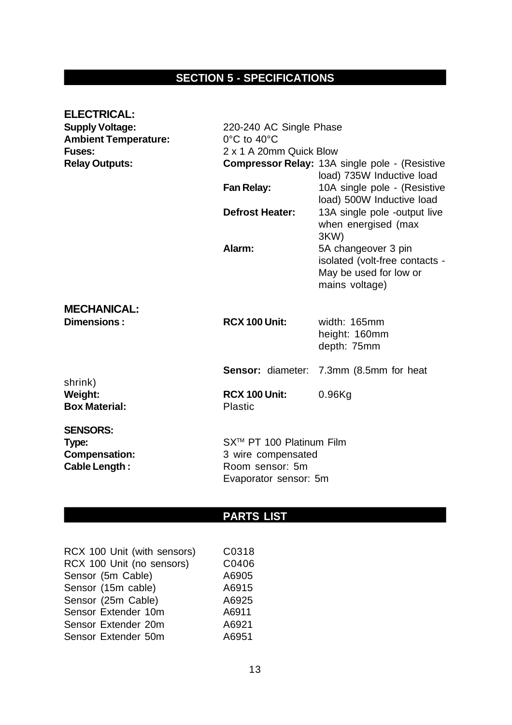## **SECTION 5 - SPECIFICATIONS**

| <b>ELECTRICAL:</b><br><b>Supply Voltage:</b><br><b>Ambient Temperature:</b><br><b>Fuses:</b> | 220-240 AC Single Phase<br>$0^{\circ}$ C to 40 $^{\circ}$ C<br>2 x 1 A 20mm Quick Blow     |                                                                                                   |  |
|----------------------------------------------------------------------------------------------|--------------------------------------------------------------------------------------------|---------------------------------------------------------------------------------------------------|--|
| <b>Relay Outputs:</b>                                                                        |                                                                                            | <b>Compressor Relay: 13A single pole - (Resistive</b><br>load) 735W Inductive load                |  |
|                                                                                              | <b>Fan Relay:</b>                                                                          | 10A single pole - (Resistive<br>load) 500W Inductive load                                         |  |
|                                                                                              | <b>Defrost Heater:</b>                                                                     | 13A single pole -output live<br>when energised (max<br>3KW)                                       |  |
|                                                                                              | Alarm:                                                                                     | 5A changeover 3 pin<br>isolated (volt-free contacts -<br>May be used for low or<br>mains voltage) |  |
| <b>MECHANICAL:</b><br>Dimensions:                                                            | <b>RCX 100 Unit:</b>                                                                       | width: 165mm<br>height: 160mm<br>depth: 75mm                                                      |  |
|                                                                                              | <b>Sensor: diameter:</b>                                                                   | 7.3mm (8.5mm for heat                                                                             |  |
| shrink)<br><b>Weight:</b><br><b>Box Material:</b>                                            | <b>RCX 100 Unit:</b><br><b>Plastic</b>                                                     | $0.96$ Kg                                                                                         |  |
| <b>SENSORS:</b><br>Type:<br><b>Compensation:</b><br><b>Cable Length:</b>                     | SX™ PT 100 Platinum Film<br>3 wire compensated<br>Room sensor: 5m<br>Evaporator sensor: 5m |                                                                                                   |  |

## **PARTS LIST**

| RCX 100 Unit (with sensors) | C0318 |
|-----------------------------|-------|
| RCX 100 Unit (no sensors)   | C0406 |
| Sensor (5m Cable)           | A6905 |
| Sensor (15m cable)          | A6915 |
| Sensor (25m Cable)          | A6925 |
| Sensor Extender 10m         | A6911 |
| Sensor Extender 20m         | A6921 |
| Sensor Extender 50m         | A6951 |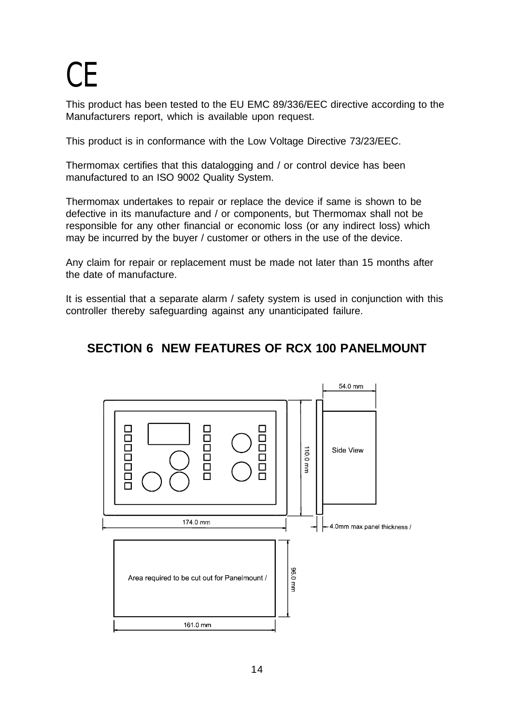## C<sub>E</sub>

This product has been tested to the EU EMC 89/336/EEC directive according to the Manufacturers report, which is available upon request.

This product is in conformance with the Low Voltage Directive 73/23/EEC.

Thermomax certifies that this datalogging and / or control device has been manufactured to an ISO 9002 Quality System.

Thermomax undertakes to repair or replace the device if same is shown to be defective in its manufacture and / or components, but Thermomax shall not be responsible for any other financial or economic loss (or any indirect loss) which may be incurred by the buyer / customer or others in the use of the device.

Any claim for repair or replacement must be made not later than 15 months after the date of manufacture.

It is essential that a separate alarm / safety system is used in conjunction with this controller thereby safeguarding against any unanticipated failure.

### **SECTION 6 NEW FEATURES OF RCX 100 PANELMOUNT**

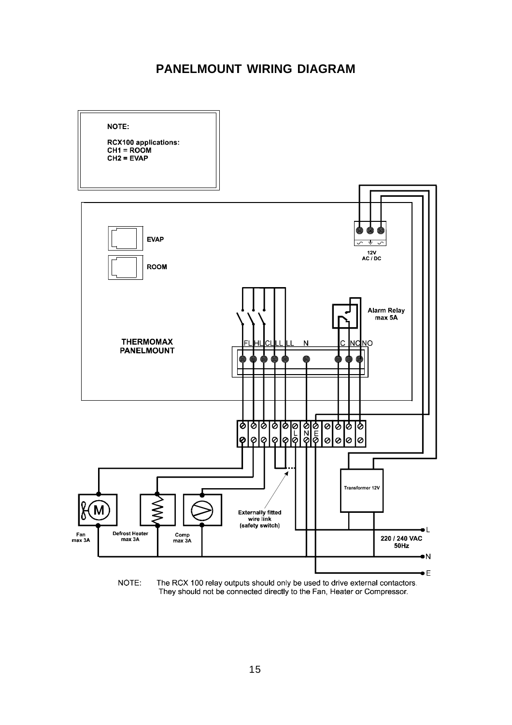#### **PANELMOUNT WIRING DIAGRAM**



The RCX 100 relay outputs should only be used to drive external contactors.<br>They should not be connected directly to the Fan, Heater or Compressor.